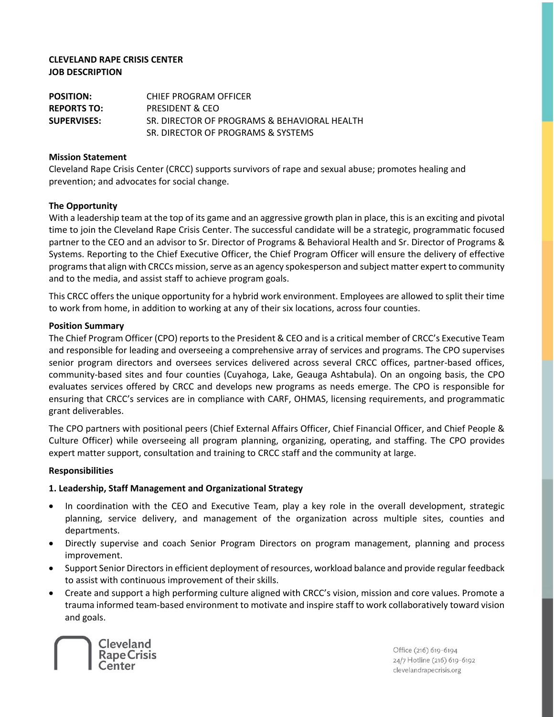## **CLEVELAND RAPE CRISIS CENTER JOB DESCRIPTION**

**POSITION:** CHIEF PROGRAM OFFICER **REPORTS TO:** PRESIDENT & CEO **SUPERVISES:** SR. DIRECTOR OF PROGRAMS & BEHAVIORAL HEALTH SR. DIRECTOR OF PROGRAMS & SYSTEMS

### **Mission Statement**

Cleveland Rape Crisis Center (CRCC) supports survivors of rape and sexual abuse; promotes healing and prevention; and advocates for social change.

### **The Opportunity**

With a leadership team at the top of its game and an aggressive growth plan in place, this is an exciting and pivotal time to join the Cleveland Rape Crisis Center. The successful candidate will be a strategic, programmatic focused partner to the CEO and an advisor to Sr. Director of Programs & Behavioral Health and Sr. Director of Programs & Systems. Reporting to the Chief Executive Officer, the Chief Program Officer will ensure the delivery of effective programs that align with CRCCs mission, serve as an agency spokesperson and subject matter expert to community and to the media, and assist staff to achieve program goals.

This CRCC offers the unique opportunity for a hybrid work environment. Employees are allowed to split their time to work from home, in addition to working at any of their six locations, across four counties.

### **Position Summary**

The Chief Program Officer (CPO) reports to the President & CEO and is a critical member of CRCC's Executive Team and responsible for leading and overseeing a comprehensive array of services and programs. The CPO supervises senior program directors and oversees services delivered across several CRCC offices, partner-based offices, community-based sites and four counties (Cuyahoga, Lake, Geauga Ashtabula). On an ongoing basis, the CPO evaluates services offered by CRCC and develops new programs as needs emerge. The CPO is responsible for ensuring that CRCC's services are in compliance with CARF, OHMAS, licensing requirements, and programmatic grant deliverables.

The CPO partners with positional peers (Chief External Affairs Officer, Chief Financial Officer, and Chief People & Culture Officer) while overseeing all program planning, organizing, operating, and staffing. The CPO provides expert matter support, consultation and training to CRCC staff and the community at large.

## **Responsibilities**

## **1. Leadership, Staff Management and Organizational Strategy**

- In coordination with the CEO and Executive Team, play a key role in the overall development, strategic planning, service delivery, and management of the organization across multiple sites, counties and departments.
- Directly supervise and coach Senior Program Directors on program management, planning and process improvement.
- Support Senior Directors in efficient deployment of resources, workload balance and provide regular feedback to assist with continuous improvement of their skills.
- Create and support a high performing culture aligned with CRCC's vision, mission and core values. Promote a trauma informed team-based environment to motivate and inspire staff to work collaboratively toward vision and goals.



Office (216) 619-6194 24/7 Hotline (216) 619-6192 clevelandrapecrisis.org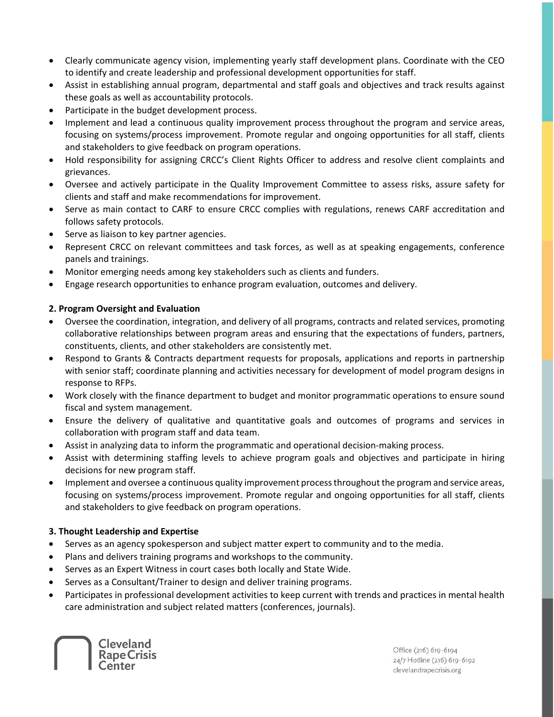- Clearly communicate agency vision, implementing yearly staff development plans. Coordinate with the CEO to identify and create leadership and professional development opportunities for staff.
- Assist in establishing annual program, departmental and staff goals and objectives and track results against these goals as well as accountability protocols.
- Participate in the budget development process.
- Implement and lead a continuous quality improvement process throughout the program and service areas, focusing on systems/process improvement. Promote regular and ongoing opportunities for all staff, clients and stakeholders to give feedback on program operations.
- Hold responsibility for assigning CRCC's Client Rights Officer to address and resolve client complaints and grievances.
- Oversee and actively participate in the Quality Improvement Committee to assess risks, assure safety for clients and staff and make recommendations for improvement.
- Serve as main contact to CARF to ensure CRCC complies with regulations, renews CARF accreditation and follows safety protocols.
- Serve as liaison to key partner agencies.
- Represent CRCC on relevant committees and task forces, as well as at speaking engagements, conference panels and trainings.
- Monitor emerging needs among key stakeholders such as clients and funders.
- Engage research opportunities to enhance program evaluation, outcomes and delivery.

## **2. Program Oversight and Evaluation**

- Oversee the coordination, integration, and delivery of all programs, contracts and related services, promoting collaborative relationships between program areas and ensuring that the expectations of funders, partners, constituents, clients, and other stakeholders are consistently met.
- Respond to Grants & Contracts department requests for proposals, applications and reports in partnership with senior staff; coordinate planning and activities necessary for development of model program designs in response to RFPs.
- Work closely with the finance department to budget and monitor programmatic operations to ensure sound fiscal and system management.
- Ensure the delivery of qualitative and quantitative goals and outcomes of programs and services in collaboration with program staff and data team.
- Assist in analyzing data to inform the programmatic and operational decision-making process.
- Assist with determining staffing levels to achieve program goals and objectives and participate in hiring decisions for new program staff.
- Implement and oversee a continuous quality improvement process throughout the program and service areas, focusing on systems/process improvement. Promote regular and ongoing opportunities for all staff, clients and stakeholders to give feedback on program operations.

## **3. Thought Leadership and Expertise**

- Serves as an agency spokesperson and subject matter expert to community and to the media.
- Plans and delivers training programs and workshops to the community.
- Serves as an Expert Witness in court cases both locally and State Wide.
- Serves as a Consultant/Trainer to design and deliver training programs.
- Participates in professional development activities to keep current with trends and practices in mental health care administration and subject related matters (conferences, journals).



Office (216) 619-6194 24/7 Hotline (216) 619-6192 clevelandrapecrisis.org